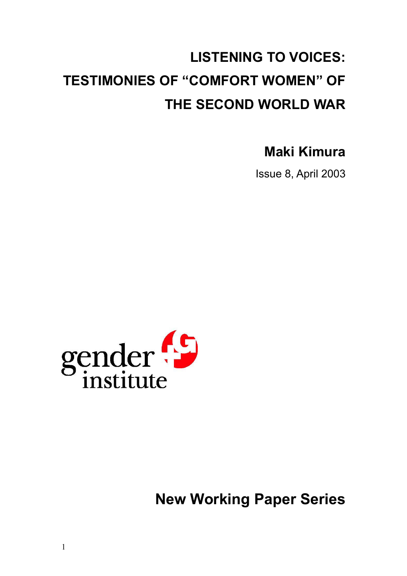# **LISTENING TO VOICES: TESTIMONIES OF "COMFORT WOMEN" OF THE SECOND WORLD WAR**

**Maki Kimura** 

Issue 8, April 2003



**New Working Paper Series**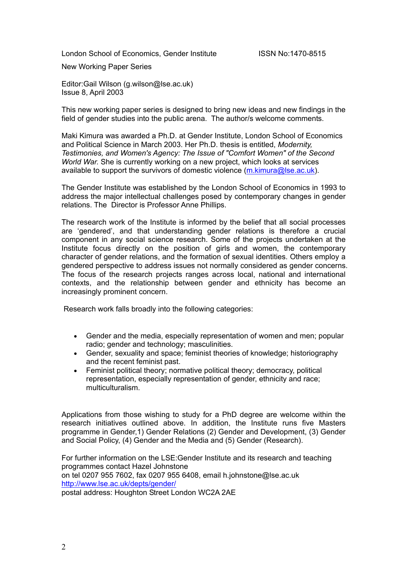London School of Economics, Gender Institute ISSN No:1470-8515

New Working Paper Series

Editor:Gail Wilson (g.wilson@lse.ac.uk) Issue 8, April 2003

This new working paper series is designed to bring new ideas and new findings in the field of gender studies into the public arena. The author/s welcome comments.

Maki Kimura was awarded a Ph.D. at Gender Institute, London School of Economics and Political Science in March 2003. Her Ph.D. thesis is entitled, *Modernity, Testimonies, and Women's Agency: The Issue of "Comfort Women" of the Second World War.* She is currently working on a new project, which looks at services available to support the survivors of domestic violence [\(m.kimura@lse.ac.uk](mailto:m.kimura@lse.ac.uk)).

The Gender Institute was established by the London School of Economics in 1993 to address the major intellectual challenges posed by contemporary changes in gender relations. The Director is Professor Anne Phillips.

The research work of the Institute is informed by the belief that all social processes are 'gendered', and that understanding gender relations is therefore a crucial component in any social science research. Some of the projects undertaken at the Institute focus directly on the position of girls and women, the contemporary character of gender relations, and the formation of sexual identities. Others employ a gendered perspective to address issues not normally considered as gender concerns. The focus of the research projects ranges across local, national and international contexts, and the relationship between gender and ethnicity has become an increasingly prominent concern.

Research work falls broadly into the following categories:

- Gender and the media, especially representation of women and men; popular radio; gender and technology; masculinities.
- Gender, sexuality and space; feminist theories of knowledge; historiography and the recent feminist past.
- Feminist political theory; normative political theory; democracy, political representation, especially representation of gender, ethnicity and race; multiculturalism.

Applications from those wishing to study for a PhD degree are welcome within the research initiatives outlined above. In addition, the Institute runs five Masters programme in Gender,1) Gender Relations (2) Gender and Development, (3) Gender and Social Policy, (4) Gender and the Media and (5) Gender (Research).

For further information on the LSE:Gender Institute and its research and teaching programmes contact Hazel Johnstone on tel 0207 955 7602, fax 0207 955 6408, email h.johnstone@lse.ac.uk <http://www.lse.ac.uk/depts/gender/> postal address: Houghton Street London WC2A 2AE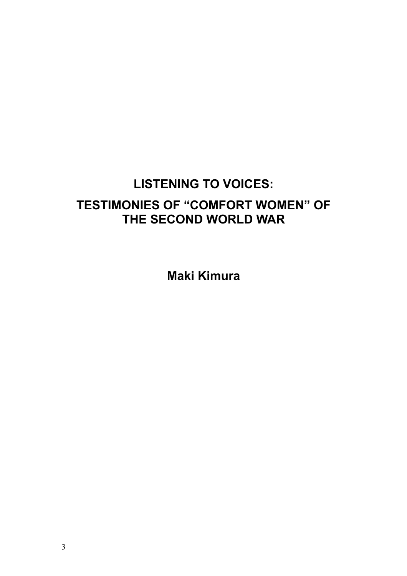## **LISTENING TO VOICES: TESTIMONIES OF "COMFORT WOMEN" OF THE SECOND WORLD WAR**

**Maki Kimura**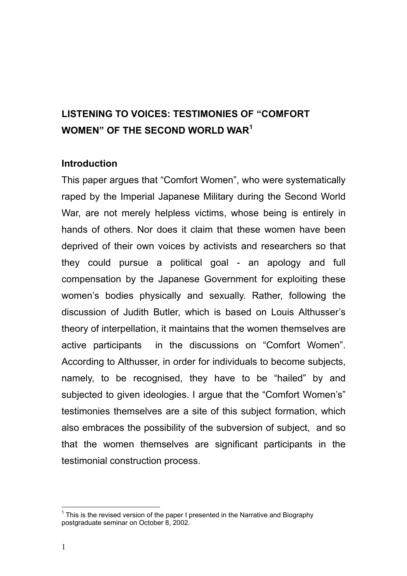### **LISTENING TO VOICES: TESTIMONIES OF "COMFORT WOMEN" OF THE SECOND WORLD WAR[1](#page-3-0)**

#### **Introduction**

This paper argues that "Comfort Women", who were systematically raped by the Imperial Japanese Military during the Second World War, are not merely helpless victims, whose being is entirely in hands of others. Nor does it claim that these women have been deprived of their own voices by activists and researchers so that they could pursue a political goal - an apology and full compensation by the Japanese Government for exploiting these women's bodies physically and sexually. Rather, following the discussion of Judith Butler, which is based on Louis Althusser's theory of interpellation, it maintains that the women themselves are active participants in the discussions on "Comfort Women". According to Althusser, in order for individuals to become subjects, namely, to be recognised, they have to be "hailed" by and subjected to given ideologies. I argue that the "Comfort Women's" testimonies themselves are a site of this subject formation, which also embraces the possibility of the subversion of subject, and so that the women themselves are significant participants in the testimonial construction process.

<span id="page-3-0"></span> $1$  This is the revised version of the paper I presented in the Narrative and Biography postgraduate seminar on October 8, 2002.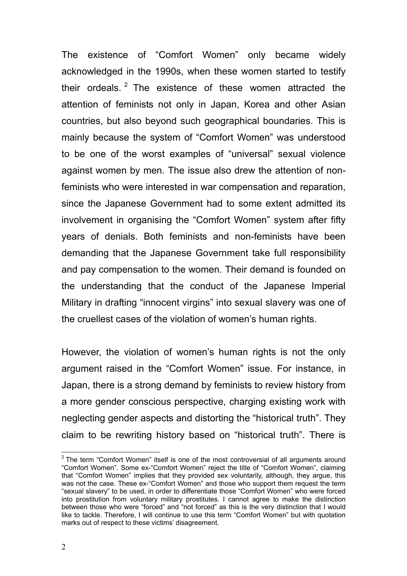The existence of "Comfort Women" only became widely acknowledged in the 1990s, when these women started to testify their ordeals.  $2$  The existence of these women attracted the attention of feminists not only in Japan, Korea and other Asian countries, but also beyond such geographical boundaries. This is mainly because the system of "Comfort Women" was understood to be one of the worst examples of "universal" sexual violence against women by men. The issue also drew the attention of nonfeminists who were interested in war compensation and reparation, since the Japanese Government had to some extent admitted its involvement in organising the "Comfort Women" system after fifty years of denials. Both feminists and non-feminists have been demanding that the Japanese Government take full responsibility and pay compensation to the women. Their demand is founded on the understanding that the conduct of the Japanese Imperial Military in drafting "innocent virgins" into sexual slavery was one of the cruellest cases of the violation of women's human rights.

However, the violation of women's human rights is not the only argument raised in the "Comfort Women" issue. For instance, in Japan, there is a strong demand by feminists to review history from a more gender conscious perspective, charging existing work with neglecting gender aspects and distorting the "historical truth". They claim to be rewriting history based on "historical truth". There is

<span id="page-4-0"></span> $2$  The term "Comfort Women" itself is one of the most controversial of all arguments around "Comfort Women". Some ex-"Comfort Women" reject the title of "Comfort Women", claiming that "Comfort Women" implies that they provided sex voluntarily, although, they argue, this was not the case. These ex-"Comfort Women" and those who support them request the term "sexual slavery" to be used, in order to differentiate those "Comfort Women" who were forced into prostitution from voluntary military prostitutes. I cannot agree to make the distinction between those who were "forced" and "not forced" as this is the very distinction that I would like to tackle. Therefore, I will continue to use this term "Comfort Women" but with quotation marks out of respect to these victims' disagreement.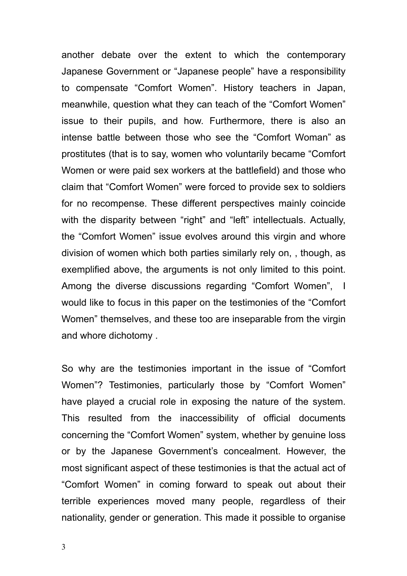another debate over the extent to which the contemporary Japanese Government or "Japanese people" have a responsibility to compensate "Comfort Women". History teachers in Japan, meanwhile, question what they can teach of the "Comfort Women" issue to their pupils, and how. Furthermore, there is also an intense battle between those who see the "Comfort Woman" as prostitutes (that is to say, women who voluntarily became "Comfort Women or were paid sex workers at the battlefield) and those who claim that "Comfort Women" were forced to provide sex to soldiers for no recompense. These different perspectives mainly coincide with the disparity between "right" and "left" intellectuals. Actually, the "Comfort Women" issue evolves around this virgin and whore division of women which both parties similarly rely on, , though, as exemplified above, the arguments is not only limited to this point. Among the diverse discussions regarding "Comfort Women", I would like to focus in this paper on the testimonies of the "Comfort Women" themselves, and these too are inseparable from the virgin and whore dichotomy .

So why are the testimonies important in the issue of "Comfort Women"? Testimonies, particularly those by "Comfort Women" have played a crucial role in exposing the nature of the system. This resulted from the inaccessibility of official documents concerning the "Comfort Women" system, whether by genuine loss or by the Japanese Government's concealment. However, the most significant aspect of these testimonies is that the actual act of "Comfort Women" in coming forward to speak out about their terrible experiences moved many people, regardless of their nationality, gender or generation. This made it possible to organise

3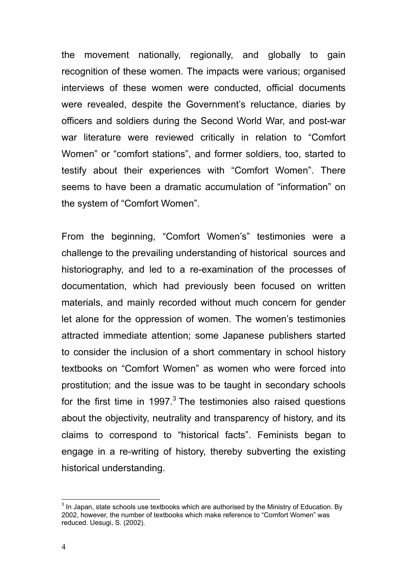the movement nationally, regionally, and globally to gain recognition of these women. The impacts were various; organised interviews of these women were conducted, official documents were revealed, despite the Government's reluctance, diaries by officers and soldiers during the Second World War, and post-war war literature were reviewed critically in relation to "Comfort Women" or "comfort stations", and former soldiers, too, started to testify about their experiences with "Comfort Women". There seems to have been a dramatic accumulation of "information" on the system of "Comfort Women".

From the beginning, "Comfort Women's" testimonies were a challenge to the prevailing understanding of historical sources and historiography, and led to a re-examination of the processes of documentation, which had previously been focused on written materials, and mainly recorded without much concern for gender let alone for the oppression of women. The women's testimonies attracted immediate attention; some Japanese publishers started to consider the inclusion of a short commentary in school history textbooks on "Comfort Women" as women who were forced into prostitution; and the issue was to be taught in secondary schools for the first time in 1997. $3$  The testimonies also raised questions about the objectivity, neutrality and transparency of history, and its claims to correspond to "historical facts". Feminists began to engage in a re-writing of history, thereby subverting the existing historical understanding.

<span id="page-6-0"></span> $3$  In Japan, state schools use textbooks which are authorised by the Ministry of Education. By 2002, however, the number of textbooks which make reference to "Comfort Women" was reduced. Uesugi, S. (2002).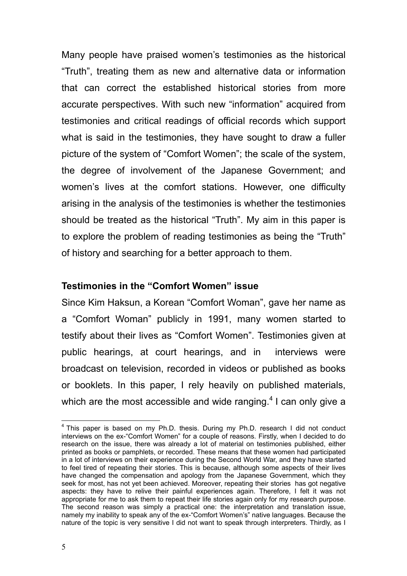<span id="page-7-0"></span>Many people have praised women's testimonies as the historical "Truth", treating them as new and alternative data or information that can correct the established historical stories from more accurate perspectives. With such new "information" acquired from testimonies and critical readings of official records which support what is said in the testimonies, they have sought to draw a fuller picture of the system of "Comfort Women"; the scale of the system, the degree of involvement of the Japanese Government; and women's lives at the comfort stations. However, one difficulty arising in the analysis of the testimonies is whether the testimonies should be treated as the historical "Truth". My aim in this paper is to explore the problem of reading testimonies as being the "Truth" of history and searching for a better approach to them.

#### **Testimonies in the "Comfort Women" issue**

Since Kim Haksun, a Korean "Comfort Woman", gave her name as a "Comfort Woman" publicly in 1991, many women started to testify about their lives as "Comfort Women". Testimonies given at public hearings, at court hearings, and in interviews were broadcast on television, recorded in videos or published as books or booklets. In this paper, I rely heavily on published materials, which are the most accessible and wide ranging. $4$  I can only give a

<sup>&</sup>lt;sup>4</sup> This paper is based on my Ph.D. thesis. During my Ph.D. research I did not conduct interviews on the ex-"Comfort Women" for a couple of reasons. Firstly, when I decided to do research on the issue, there was already a lot of material on testimonies published, either printed as books or pamphlets, or recorded. These means that these women had participated in a lot of interviews on their experience during the Second World War, and they have started to feel tired of repeating their stories. This is because, although some aspects of their lives have changed the compensation and apology from the Japanese Government, which they seek for most, has not yet been achieved. Moreover, repeating their stories has got negative aspects: they have to relive their painful experiences again. Therefore, I felt it was not appropriate for me to ask them to repeat their life stories again only for my research purpose. The second reason was simply a practical one: the interpretation and translation issue, namely my inability to speak any of the ex-"Comfort Women's" native languages. Because the nature of the topic is very sensitive I did not want to speak through interpreters. Thirdly, as I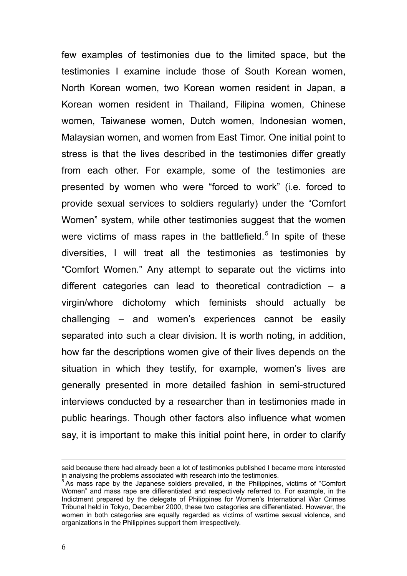few examples of testimonies due to the limited space, but the testimonies I examine include those of South Korean women, North Korean women, two Korean women resident in Japan, a Korean women resident in Thailand, Filipina women, Chinese women, Taiwanese women, Dutch women, Indonesian women, Malaysian women, and women from East Timor. One initial point to stress is that the lives described in the testimonies differ greatly from each other. For example, some of the testimonies are presented by women who were "forced to work" (i.e. forced to provide sexual services to soldiers regularly) under the "Comfort Women" system, while other testimonies suggest that the women were victims of mass rapes in the battlefield.<sup>[5](#page-8-0)</sup> In spite of these diversities, I will treat all the testimonies as testimonies by "Comfort Women." Any attempt to separate out the victims into different categories can lead to theoretical contradiction – a virgin/whore dichotomy which feminists should actually be challenging – and women's experiences cannot be easily separated into such a clear division. It is worth noting, in addition, how far the descriptions women give of their lives depends on the situation in which they testify, for example, women's lives are generally presented in more detailed fashion in semi-structured interviews conducted by a researcher than in testimonies made in public hearings. Though other factors also influence what women say, it is important to make this initial point here, in order to clarify

said because there had already been a lot of testimonies published I became more interested in analysing the problems associated with research into the testimonies.

<span id="page-8-0"></span> $5$  As mass rape by the Japanese soldiers prevailed, in the Philippines, victims of "Comfort" Women" and mass rape are differentiated and respectively referred to. For example, in the Indictment prepared by the delegate of Philippines for Women's International War Crimes Tribunal held in Tokyo, December 2000, these two categories are differentiated. However, the women in both categories are equally regarded as victims of wartime sexual violence, and organizations in the Philippines support them irrespectively.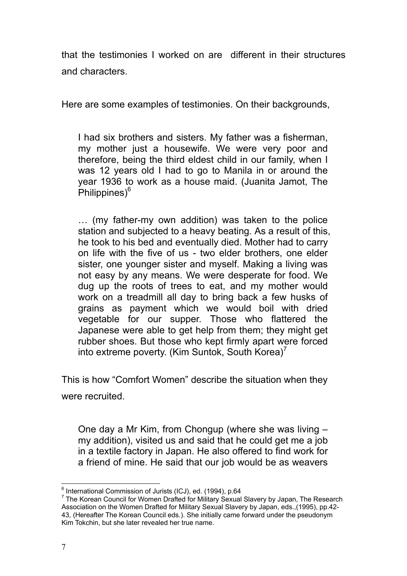that the testimonies I worked on are different in their structures and characters.

Here are some examples of testimonies. On their backgrounds,

I had six brothers and sisters. My father was a fisherman, my mother just a housewife. We were very poor and therefore, being the third eldest child in our family, when I was 12 years old I had to go to Manila in or around the year 1936 to work as a house maid. (Juanita Jamot, The  $P$ hilippines) $6$ 

… (my father-my own addition) was taken to the police station and subjected to a heavy beating. As a result of this, he took to his bed and eventually died. Mother had to carry on life with the five of us - two elder brothers, one elder sister, one younger sister and myself. Making a living was not easy by any means. We were desperate for food. We dug up the roots of trees to eat, and my mother would work on a treadmill all day to bring back a few husks of grains as payment which we would boil with dried vegetable for our supper. Those who flattered the Japanese were able to get help from them; they might get rubber shoes. But those who kept firmly apart were forced into extreme poverty. (Kim Suntok, South Korea)<sup>[7](#page-9-1)</sup>

This is how "Comfort Women" describe the situation when they were recruited.

One day a Mr Kim, from Chongup (where she was living – my addition), visited us and said that he could get me a job in a textile factory in Japan. He also offered to find work for a friend of mine. He said that our job would be as weavers

 $\overline{a}$ 

<span id="page-9-1"></span><span id="page-9-0"></span> $^6$  International Commission of Jurists (ICJ), ed. (1994), p.64<br>7 The Korean Council for Women Drafted for Military Sexual Slavery by Japan, The Research Association on the Women Drafted for Military Sexual Slavery by Japan, eds.,(1995), pp.42- 43, (Hereafter The Korean Council eds.). She initially came forward under the pseudonym Kim Tokchin, but she later revealed her true name.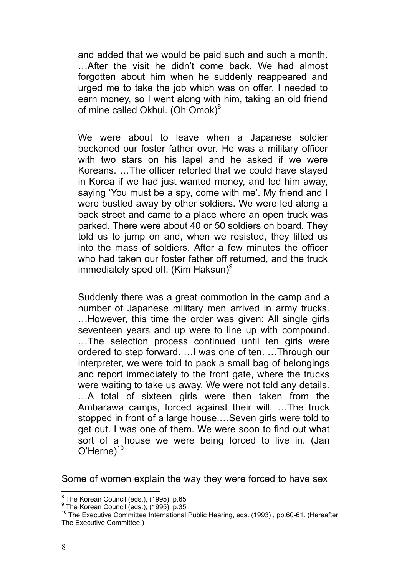and added that we would be paid such and such a month. …After the visit he didn't come back. We had almost forgotten about him when he suddenly reappeared and urged me to take the job which was on offer. I needed to earn money, so I went along with him, taking an old friend of mine called Okhui. (Oh Omok)<sup>8</sup>

We were about to leave when a Japanese soldier beckoned our foster father over. He was a military officer with two stars on his lapel and he asked if we were Koreans. …The officer retorted that we could have stayed in Korea if we had just wanted money, and led him away, saying 'You must be a spy, come with me'. My friend and I were bustled away by other soldiers. We were led along a back street and came to a place where an open truck was parked. There were about 40 or 50 soldiers on board. They told us to jump on and, when we resisted, they lifted us into the mass of soldiers. After a few minutes the officer who had taken our foster father off returned, and the truck immediately sped off. (Kim Haksun) $9$ 

Suddenly there was a great commotion in the camp and a number of Japanese military men arrived in army trucks. …However, this time the order was given: All single girls seventeen years and up were to line up with compound. …The selection process continued until ten girls were ordered to step forward. …I was one of ten. …Through our interpreter, we were told to pack a small bag of belongings and report immediately to the front gate, where the trucks were waiting to take us away. We were not told any details. …A total of sixteen girls were then taken from the Ambarawa camps, forced against their will. …The truck stopped in front of a large house.…Seven girls were told to get out. I was one of them. We were soon to find out what sort of a house we were being forced to live in. (Jan  $O'$ Herne $1^{10}$ 

Some of women explain the way they were forced to have sex

<span id="page-10-0"></span> $^8$  The Korean Council (eds.), (1995), p.65

<span id="page-10-1"></span> $9$  The Korean Council (eds.), (1995), p.35

<span id="page-10-2"></span><sup>&</sup>lt;sup>10</sup> The Executive Committee International Public Hearing, eds. (1993), pp.60-61. (Hereafter The Executive Committee.)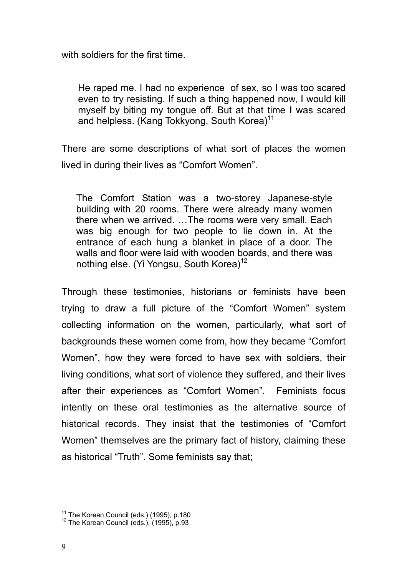with soldiers for the first time.

He raped me. I had no experience of sex, so I was too scared even to try resisting. If such a thing happened now, I would kill myself by biting my tongue off. But at that time I was scared and helpless. (Kang Tokkyong, South Korea)<sup>11</sup>

There are some descriptions of what sort of places the women lived in during their lives as "Comfort Women".

The Comfort Station was a two-storey Japanese-style building with 20 rooms. There were already many women there when we arrived. …The rooms were very small. Each was big enough for two people to lie down in. At the entrance of each hung a blanket in place of a door. The walls and floor were laid with wooden boards, and there was nothing else. (Yi Yongsu, South Korea)<sup>[12](#page-11-1)</sup>

Through these testimonies, historians or feminists have been trying to draw a full picture of the "Comfort Women" system collecting information on the women, particularly, what sort of backgrounds these women come from, how they became "Comfort Women", how they were forced to have sex with soldiers, their living conditions, what sort of violence they suffered, and their lives after their experiences as "Comfort Women". Feminists focus intently on these oral testimonies as the alternative source of historical records. They insist that the testimonies of "Comfort Women" themselves are the primary fact of history, claiming these as historical "Truth". Some feminists say that;

 $\overline{a}$  $11$  The Korean Council (eds.) (1995), p.180

<span id="page-11-1"></span><span id="page-11-0"></span><sup>&</sup>lt;sup>12</sup> The Korean Council (eds.), (1995), p.93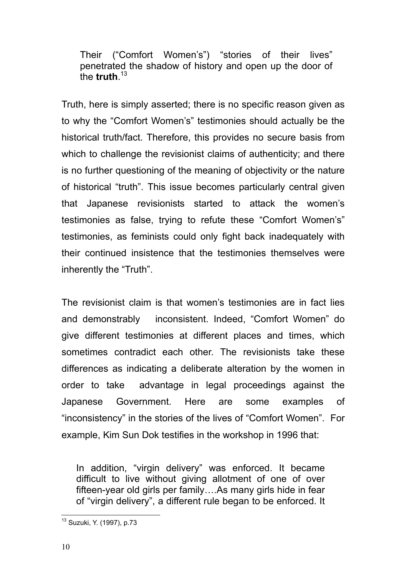Their ("Comfort Women's") "stories of their lives" penetrated the shadow of history and open up the door of the **truth**. [13](#page-12-0) 

Truth, here is simply asserted; there is no specific reason given as to why the "Comfort Women's" testimonies should actually be the historical truth/fact. Therefore, this provides no secure basis from which to challenge the revisionist claims of authenticity; and there is no further questioning of the meaning of objectivity or the nature of historical "truth". This issue becomes particularly central given that Japanese revisionists started to attack the women's testimonies as false, trying to refute these "Comfort Women's" testimonies, as feminists could only fight back inadequately with their continued insistence that the testimonies themselves were inherently the "Truth".

The revisionist claim is that women's testimonies are in fact lies and demonstrably inconsistent. Indeed, "Comfort Women" do give different testimonies at different places and times, which sometimes contradict each other. The revisionists take these differences as indicating a deliberate alteration by the women in order to take advantage in legal proceedings against the Japanese Government. Here are some examples of "inconsistency" in the stories of the lives of "Comfort Women". For example, Kim Sun Dok testifies in the workshop in 1996 that:

In addition, "virgin delivery" was enforced. It became difficult to live without giving allotment of one of over fifteen-year old girls per family….As many girls hide in fear of "virgin delivery", a different rule began to be enforced. It

<span id="page-12-0"></span> $\overline{a}$ <sup>13</sup> Suzuki, Y. (1997), p.73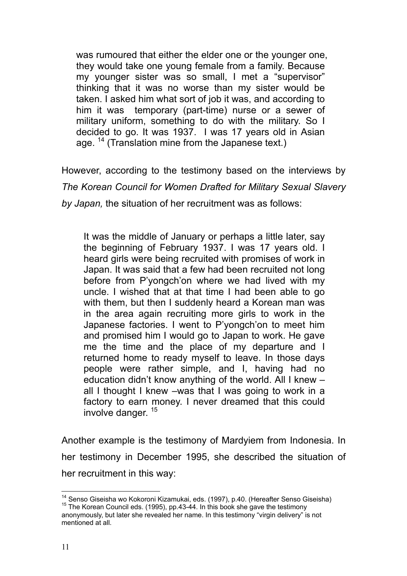was rumoured that either the elder one or the younger one, they would take one young female from a family. Because my younger sister was so small, I met a "supervisor" thinking that it was no worse than my sister would be taken. I asked him what sort of job it was, and according to him it was temporary (part-time) nurse or a sewer of military uniform, something to do with the military. So I decided to go. It was 1937. I was 17 years old in Asian age. <sup>14</sup> (Translation mine from the Japanese text.)

However, according to the testimony based on the interviews by *The Korean Council for Women Drafted for Military Sexual Slavery by Japan,* the situation of her recruitment was as follows:

It was the middle of January or perhaps a little later, say the beginning of February 1937. I was 17 years old. I heard girls were being recruited with promises of work in Japan. It was said that a few had been recruited not long before from P'yongch'on where we had lived with my uncle. I wished that at that time I had been able to go with them, but then I suddenly heard a Korean man was in the area again recruiting more girls to work in the Japanese factories. I went to P'yongch'on to meet him and promised him I would go to Japan to work. He gave me the time and the place of my departure and I returned home to ready myself to leave. In those days people were rather simple, and I, having had no education didn't know anything of the world. All I knew – all I thought I knew –was that I was going to work in a factory to earn money. I never dreamed that this could involve danger. [15](#page-13-1)

Another example is the testimony of Mardyiem from Indonesia. In her testimony in December 1995, she described the situation of her recruitment in this way:

<span id="page-13-1"></span><span id="page-13-0"></span><sup>&</sup>lt;sup>14</sup> Senso Giseisha wo Kokoroni Kizamukai, eds. (1997), p.40. (Hereafter Senso Giseisha) <sup>15</sup> The Korean Council eds. (1995), pp.43-44. In this book she gave the testimony anonymously, but later she revealed her name. In this testimony "virgin delivery" is not mentioned at all.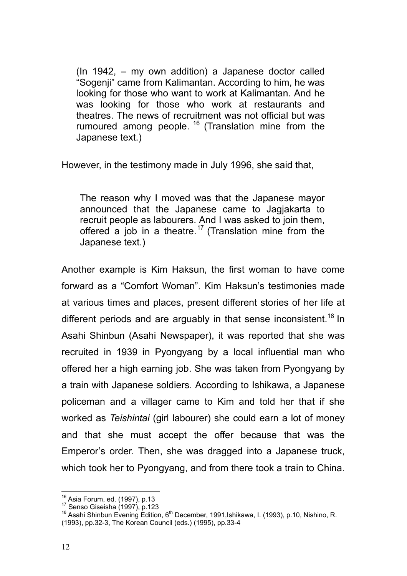(In 1942, – my own addition) a Japanese doctor called "Sogenji" came from Kalimantan. According to him, he was looking for those who want to work at Kalimantan. And he was looking for those who work at restaurants and theatres. The news of recruitment was not official but was rumoured among people.  $16$  (Translation mine from the Japanese text.)

However, in the testimony made in July 1996, she said that,

The reason why I moved was that the Japanese mayor announced that the Japanese came to Jagjakarta to recruit people as labourers. And I was asked to join them, offered a job in a theatre.<sup>[17](#page-14-1)</sup> (Translation mine from the Japanese text.)

Another example is Kim Haksun, the first woman to have come forward as a "Comfort Woman". Kim Haksun's testimonies made at various times and places, present different stories of her life at different periods and are arguably in that sense inconsistent.<sup>18</sup> In Asahi Shinbun (Asahi Newspaper), it was reported that she was recruited in 1939 in Pyongyang by a local influential man who offered her a high earning job. She was taken from Pyongyang by a train with Japanese soldiers. According to Ishikawa, a Japanese policeman and a villager came to Kim and told her that if she worked as *Teishintai* (girl labourer) she could earn a lot of money and that she must accept the offer because that was the Emperor's order. Then, she was dragged into a Japanese truck, which took her to Pyongyang, and from there took a train to China.

<span id="page-14-0"></span><sup>&</sup>lt;sup>16</sup> Asia Forum, ed. (1997), p.13

<span id="page-14-1"></span><sup>17</sup> Senso Giseisha (1997), p.123

<span id="page-14-2"></span> $18$  Asahi Shinbun Evening Edition, 6<sup>th</sup> December, 1991, Ishikawa, I. (1993), p.10, Nishino, R. (1993), pp.32-3, The Korean Council (eds.) (1995), pp.33-4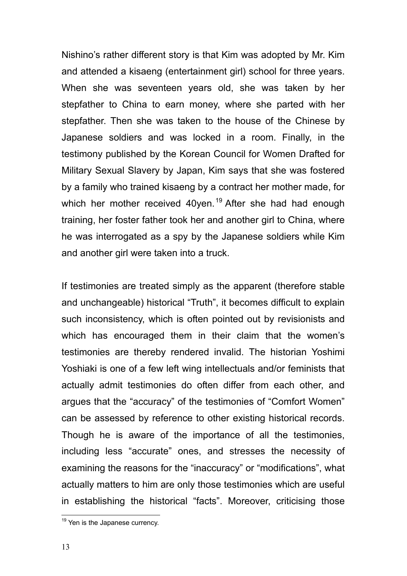Nishino's rather different story is that Kim was adopted by Mr. Kim and attended a kisaeng (entertainment girl) school for three years. When she was seventeen years old, she was taken by her stepfather to China to earn money, where she parted with her stepfather. Then she was taken to the house of the Chinese by Japanese soldiers and was locked in a room. Finally, in the testimony published by the Korean Council for Women Drafted for Military Sexual Slavery by Japan, Kim says that she was fostered by a family who trained kisaeng by a contract her mother made, for which her mother received 40yen.<sup>[19](#page-15-0)</sup> After she had had enough training, her foster father took her and another girl to China, where he was interrogated as a spy by the Japanese soldiers while Kim and another girl were taken into a truck.

If testimonies are treated simply as the apparent (therefore stable and unchangeable) historical "Truth", it becomes difficult to explain such inconsistency, which is often pointed out by revisionists and which has encouraged them in their claim that the women's testimonies are thereby rendered invalid. The historian Yoshimi Yoshiaki is one of a few left wing intellectuals and/or feminists that actually admit testimonies do often differ from each other, and argues that the "accuracy" of the testimonies of "Comfort Women" can be assessed by reference to other existing historical records. Though he is aware of the importance of all the testimonies, including less "accurate" ones, and stresses the necessity of examining the reasons for the "inaccuracy" or "modifications", what actually matters to him are only those testimonies which are useful in establishing the historical "facts". Moreover, criticising those

<span id="page-15-0"></span><sup>&</sup>lt;sup>19</sup> Yen is the Japanese currency.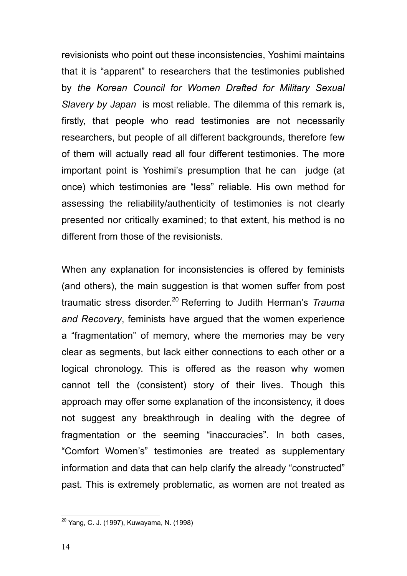revisionists who point out these inconsistencies, Yoshimi maintains that it is "apparent" to researchers that the testimonies published by *the Korean Council for Women Drafted for Military Sexual Slavery by Japan* is most reliable. The dilemma of this remark is, firstly, that people who read testimonies are not necessarily researchers, but people of all different backgrounds, therefore few of them will actually read all four different testimonies. The more important point is Yoshimi's presumption that he can judge (at once) which testimonies are "less" reliable. His own method for assessing the reliability/authenticity of testimonies is not clearly presented nor critically examined; to that extent, his method is no different from those of the revisionists.

When any explanation for inconsistencies is offered by feminists (and others), the main suggestion is that women suffer from post traumatic stress disorder. [20](#page-16-0) Referring to Judith Herman's *Trauma and Recovery*, feminists have argued that the women experience a "fragmentation" of memory, where the memories may be very clear as segments, but lack either connections to each other or a logical chronology. This is offered as the reason why women cannot tell the (consistent) story of their lives. Though this approach may offer some explanation of the inconsistency, it does not suggest any breakthrough in dealing with the degree of fragmentation or the seeming "inaccuracies". In both cases, "Comfort Women's" testimonies are treated as supplementary information and data that can help clarify the already "constructed" past. This is extremely problematic, as women are not treated as

<span id="page-16-0"></span><sup>&</sup>lt;sup>20</sup> Yang, C. J. (1997), Kuwayama, N. (1998)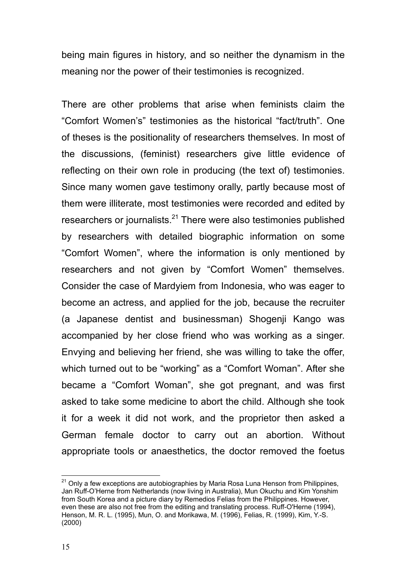being main figures in history, and so neither the dynamism in the meaning nor the power of their testimonies is recognized.

There are other problems that arise when feminists claim the "Comfort Women's" testimonies as the historical "fact/truth". One of theses is the positionality of researchers themselves. In most of the discussions, (feminist) researchers give little evidence of reflecting on their own role in producing (the text of) testimonies. Since many women gave testimony orally, partly because most of them were illiterate, most testimonies were recorded and edited by researchers or journalists.<sup>[21](#page-17-0)</sup> There were also testimonies published by researchers with detailed biographic information on some "Comfort Women", where the information is only mentioned by researchers and not given by "Comfort Women" themselves. Consider the case of Mardyiem from Indonesia, who was eager to become an actress, and applied for the job, because the recruiter (a Japanese dentist and businessman) Shogenji Kango was accompanied by her close friend who was working as a singer. Envying and believing her friend, she was willing to take the offer, which turned out to be "working" as a "Comfort Woman". After she became a "Comfort Woman", she got pregnant, and was first asked to take some medicine to abort the child. Although she took it for a week it did not work, and the proprietor then asked a German female doctor to carry out an abortion. Without appropriate tools or anaesthetics, the doctor removed the foetus

<span id="page-17-0"></span> $21$  Only a few exceptions are autobiographies by Maria Rosa Luna Henson from Philippines, Jan Ruff-O'Herne from Netherlands (now living in Australia), Mun Okuchu and Kim Yonshim from South Korea and a picture diary by Remedios Felias from the Philippines. However. even these are also not free from the editing and translating process. Ruff-O'Herne (1994), Henson, M. R. L. (1995), Mun, O. and Morikawa, M. (1996), Felias, R. (1999), Kim, Y.-S. (2000)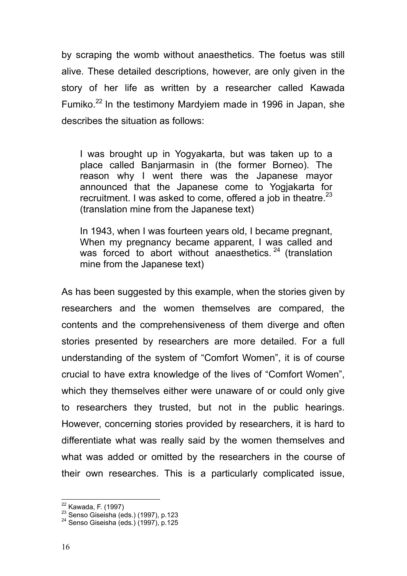by scraping the womb without anaesthetics. The foetus was still alive. These detailed descriptions, however, are only given in the story of her life as written by a researcher called Kawada Fumiko.[22](#page-18-0) In the testimony Mardyiem made in 1996 in Japan, she describes the situation as follows:

I was brought up in Yogyakarta, but was taken up to a place called Banjarmasin in (the former Borneo). The reason why I went there was the Japanese mayor announced that the Japanese come to Yogjakarta for recruitment. I was asked to come, offered a job in theatre. $^{23}$  $^{23}$  $^{23}$ (translation mine from the Japanese text)

In 1943, when I was fourteen years old, I became pregnant, When my pregnancy became apparent, I was called and was forced to abort without anaesthetics.  $24$  (translation mine from the Japanese text)

As has been suggested by this example, when the stories given by researchers and the women themselves are compared, the contents and the comprehensiveness of them diverge and often stories presented by researchers are more detailed. For a full understanding of the system of "Comfort Women", it is of course crucial to have extra knowledge of the lives of "Comfort Women", which they themselves either were unaware of or could only give to researchers they trusted, but not in the public hearings. However, concerning stories provided by researchers, it is hard to differentiate what was really said by the women themselves and what was added or omitted by the researchers in the course of their own researches. This is a particularly complicated issue,

<span id="page-18-1"></span><span id="page-18-0"></span>

 $22$  Kawada, F. (1997)<br> $23$  Senso Giseisha (eds.) (1997), p.123

<span id="page-18-2"></span> $24$  Senso Giseisha (eds.) (1997), p.125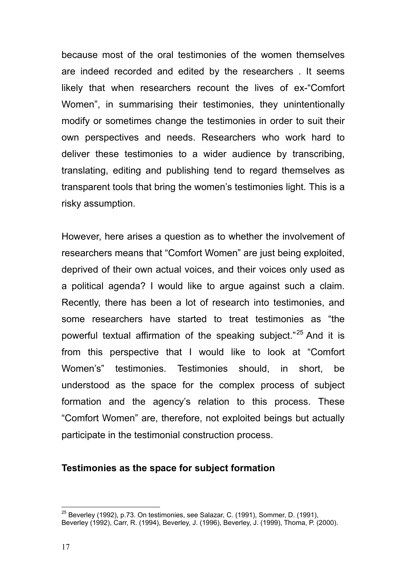because most of the oral testimonies of the women themselves are indeed recorded and edited by the researchers . It seems likely that when researchers recount the lives of ex-"Comfort Women", in summarising their testimonies, they unintentionally modify or sometimes change the testimonies in order to suit their own perspectives and needs. Researchers who work hard to deliver these testimonies to a wider audience by transcribing, translating, editing and publishing tend to regard themselves as transparent tools that bring the women's testimonies light. This is a risky assumption.

However, here arises a question as to whether the involvement of researchers means that "Comfort Women" are just being exploited, deprived of their own actual voices, and their voices only used as a political agenda? I would like to argue against such a claim. Recently, there has been a lot of research into testimonies, and some researchers have started to treat testimonies as "the powerful textual affirmation of the speaking subject."[25](#page-19-0) And it is from this perspective that I would like to look at "Comfort Women's" testimonies. Testimonies should, in short, be understood as the space for the complex process of subject formation and the agency's relation to this process. These "Comfort Women" are, therefore, not exploited beings but actually participate in the testimonial construction process.

#### **Testimonies as the space for subject formation**

<span id="page-19-0"></span> $\overline{a}$  $25$  Beverley (1992), p.73. On testimonies, see Salazar, C. (1991), Sommer, D. (1991), Beverley (1992), Carr, R. (1994), Beverley, J. (1996), Beverley, J. (1999), Thoma, P. (2000).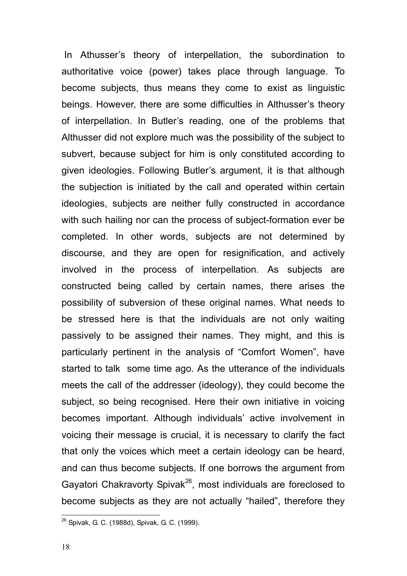In Athusser's theory of interpellation, the subordination to authoritative voice (power) takes place through language. To become subjects, thus means they come to exist as linguistic beings. However, there are some difficulties in Althusser's theory of interpellation. In Butler's reading, one of the problems that Althusser did not explore much was the possibility of the subject to subvert, because subject for him is only constituted according to given ideologies. Following Butler's argument, it is that although the subjection is initiated by the call and operated within certain ideologies, subjects are neither fully constructed in accordance with such hailing nor can the process of subject-formation ever be completed. In other words, subjects are not determined by discourse, and they are open for resignification, and actively involved in the process of interpellation. As subjects are constructed being called by certain names, there arises the possibility of subversion of these original names. What needs to be stressed here is that the individuals are not only waiting passively to be assigned their names. They might, and this is particularly pertinent in the analysis of "Comfort Women", have started to talk some time ago. As the utterance of the individuals meets the call of the addresser (ideology), they could become the subject, so being recognised. Here their own initiative in voicing becomes important. Although individuals' active involvement in voicing their message is crucial, it is necessary to clarify the fact that only the voices which meet a certain ideology can be heard, and can thus become subjects. If one borrows the argument from Gayatori Chakravorty Spivak<sup>26</sup>, most individuals are foreclosed to become subjects as they are not actually "hailed", therefore they

<span id="page-20-0"></span><sup>&</sup>lt;sup>26</sup> Spivak, G. C. (1988d), Spivak, G. C. (1999).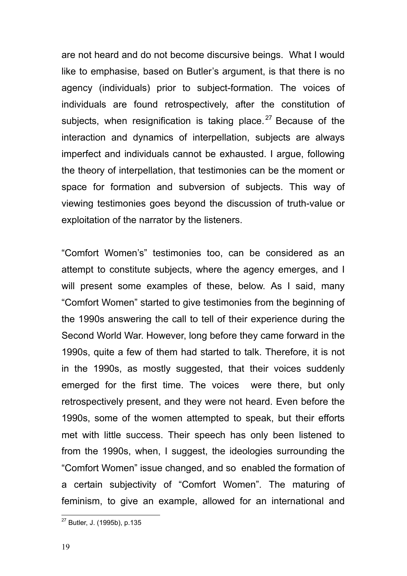are not heard and do not become discursive beings. What I would like to emphasise, based on Butler's argument, is that there is no agency (individuals) prior to subject-formation. The voices of individuals are found retrospectively, after the constitution of subjects, when resignification is taking place.<sup>[27](#page-21-0)</sup> Because of the interaction and dynamics of interpellation, subjects are always imperfect and individuals cannot be exhausted. I argue, following the theory of interpellation, that testimonies can be the moment or space for formation and subversion of subjects. This way of viewing testimonies goes beyond the discussion of truth-value or exploitation of the narrator by the listeners.

"Comfort Women's" testimonies too, can be considered as an attempt to constitute subjects, where the agency emerges, and I will present some examples of these, below. As I said, many "Comfort Women" started to give testimonies from the beginning of the 1990s answering the call to tell of their experience during the Second World War. However, long before they came forward in the 1990s, quite a few of them had started to talk. Therefore, it is not in the 1990s, as mostly suggested, that their voices suddenly emerged for the first time. The voices were there, but only retrospectively present, and they were not heard. Even before the 1990s, some of the women attempted to speak, but their efforts met with little success. Their speech has only been listened to from the 1990s, when, I suggest, the ideologies surrounding the "Comfort Women" issue changed, and so enabled the formation of a certain subjectivity of "Comfort Women". The maturing of feminism, to give an example, allowed for an international and

<span id="page-21-0"></span><sup>&</sup>lt;sup>27</sup> Butler, J. (1995b), p.135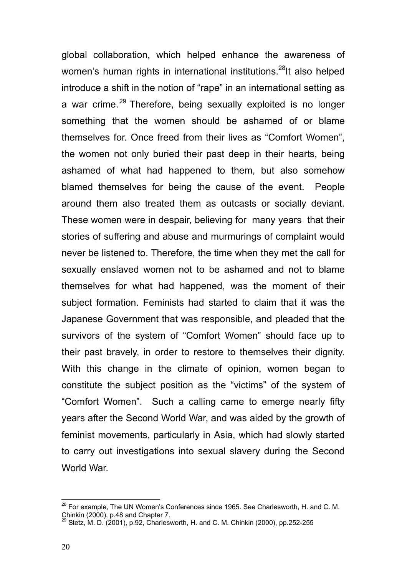global collaboration, which helped enhance the awareness of women's human rights in international institutions.<sup>28</sup>It also helped introduce a shift in the notion of "rape" in an international setting as a war crime.<sup>[29](#page-22-1)</sup> Therefore, being sexually exploited is no longer something that the women should be ashamed of or blame themselves for. Once freed from their lives as "Comfort Women", the women not only buried their past deep in their hearts, being ashamed of what had happened to them, but also somehow blamed themselves for being the cause of the event. People around them also treated them as outcasts or socially deviant. These women were in despair, believing for many years that their stories of suffering and abuse and murmurings of complaint would never be listened to. Therefore, the time when they met the call for sexually enslaved women not to be ashamed and not to blame themselves for what had happened, was the moment of their subject formation. Feminists had started to claim that it was the Japanese Government that was responsible, and pleaded that the survivors of the system of "Comfort Women" should face up to their past bravely, in order to restore to themselves their dignity. With this change in the climate of opinion, women began to constitute the subject position as the "victims" of the system of "Comfort Women". Such a calling came to emerge nearly fifty years after the Second World War, and was aided by the growth of feminist movements, particularly in Asia, which had slowly started to carry out investigations into sexual slavery during the Second World War.

<span id="page-22-0"></span> $^{28}$  For example, The UN Women's Conferences since 1965. See Charlesworth, H. and C. M. Chinkin (2000), p.48 and Chapter 7.

<span id="page-22-1"></span><sup>29</sup> Stetz, M. D. (2001), p.92, Charlesworth, H. and C. M. Chinkin (2000), pp.252-255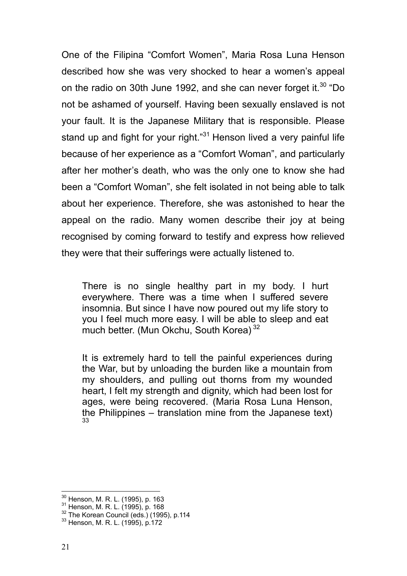One of the Filipina "Comfort Women", Maria Rosa Luna Henson described how she was very shocked to hear a women's appeal on the radio on 30th June 1992, and she can never forget it.<sup>30</sup> "Do not be ashamed of yourself. Having been sexually enslaved is not your fault. It is the Japanese Military that is responsible. Please stand up and fight for your right."<sup>[31](#page-23-1)</sup> Henson lived a very painful life because of her experience as a "Comfort Woman", and particularly after her mother's death, who was the only one to know she had been a "Comfort Woman", she felt isolated in not being able to talk about her experience. Therefore, she was astonished to hear the appeal on the radio. Many women describe their joy at being recognised by coming forward to testify and express how relieved they were that their sufferings were actually listened to.

There is no single healthy part in my body. I hurt everywhere. There was a time when I suffered severe insomnia. But since I have now poured out my life story to you I feel much more easy. I will be able to sleep and eat much better. (Mun Okchu, South Korea)<sup>32</sup>

It is extremely hard to tell the painful experiences during the War, but by unloading the burden like a mountain from my shoulders, and pulling out thorns from my wounded heart, I felt my strength and dignity, which had been lost for ages, were being recovered. (Maria Rosa Luna Henson, the Philippines – translation mine from the Japanese text) [33](#page-23-3)

<span id="page-23-2"></span><span id="page-23-1"></span>

<span id="page-23-0"></span><sup>&</sup>lt;sup>30</sup> Henson, M. R. L. (1995), p. 163<br><sup>31</sup> Henson, M. R. L. (1995), p. 168<br><sup>32</sup> The Korean Council (eds.) (1995), p.114

<span id="page-23-3"></span><sup>33</sup> Henson, M. R. L. (1995), p.172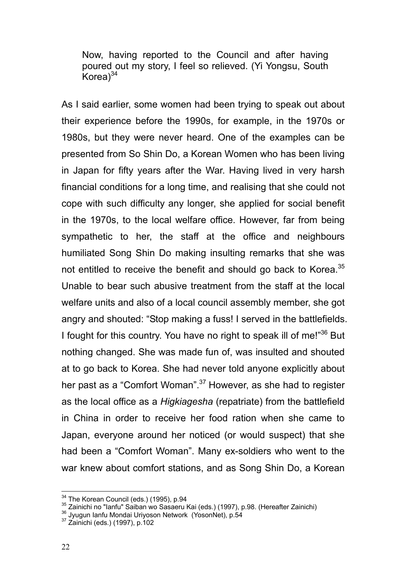Now, having reported to the Council and after having poured out my story, I feel so relieved. (Yi Yongsu, South Korea $)^{34}$ 

As I said earlier, some women had been trying to speak out about their experience before the 1990s, for example, in the 1970s or 1980s, but they were never heard. One of the examples can be presented from So Shin Do, a Korean Women who has been living in Japan for fifty years after the War. Having lived in very harsh financial conditions for a long time, and realising that she could not cope with such difficulty any longer, she applied for social benefit in the 1970s, to the local welfare office. However, far from being sympathetic to her, the staff at the office and neighbours humiliated Song Shin Do making insulting remarks that she was not entitled to receive the benefit and should go back to Korea.<sup>[35](#page-24-1)</sup> Unable to bear such abusive treatment from the staff at the local welfare units and also of a local council assembly member, she got angry and shouted: "Stop making a fuss! I served in the battlefields. I fought for this country. You have no right to speak ill of me!"<sup>36</sup> But nothing changed. She was made fun of, was insulted and shouted at to go back to Korea. She had never told anyone explicitly about her past as a "Comfort Woman".<sup>[37](#page-24-3)</sup> However, as she had to register as the local office as a *Higkiagesha* (repatriate) from the battlefield in China in order to receive her food ration when she came to Japan, everyone around her noticed (or would suspect) that she had been a "Comfort Woman". Many ex-soldiers who went to the war knew about comfort stations, and as Song Shin Do, a Korean

<span id="page-24-0"></span><sup>&</sup>lt;sup>34</sup> The Korean Council (eds.) (1995), p.94

<span id="page-24-1"></span> $\frac{35}{35}$  Zainichi no "Ianfu" Saiban wo Sasaeru Kai (eds.) (1997), p.98. (Hereafter Zainichi)  $\frac{36}{37}$  Jyugun Ianfu Mondai Uriyoson Network (YosonNet), p.54 37 Zainichi (eds.) (1997), p.102

<span id="page-24-2"></span>

<span id="page-24-3"></span>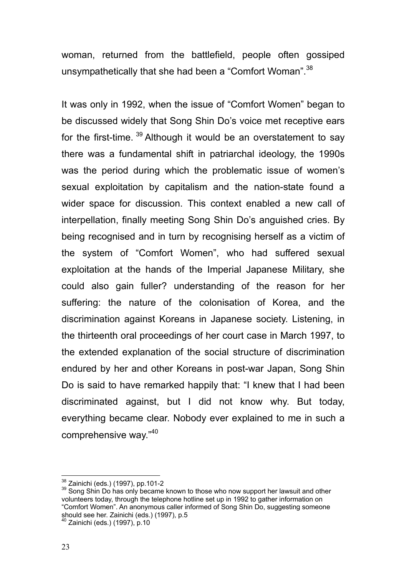woman, returned from the battlefield, people often gossiped unsympathetically that she had been a "Comfort Woman".<sup>[38](#page-25-0)</sup>

It was only in 1992, when the issue of "Comfort Women" began to be discussed widely that Song Shin Do's voice met receptive ears for the first-time.  $39$  Although it would be an overstatement to say there was a fundamental shift in patriarchal ideology, the 1990s was the period during which the problematic issue of women's sexual exploitation by capitalism and the nation-state found a wider space for discussion. This context enabled a new call of interpellation, finally meeting Song Shin Do's anguished cries. By being recognised and in turn by recognising herself as a victim of the system of "Comfort Women", who had suffered sexual exploitation at the hands of the Imperial Japanese Military, she could also gain fuller? understanding of the reason for her suffering: the nature of the colonisation of Korea, and the discrimination against Koreans in Japanese society. Listening, in the thirteenth oral proceedings of her court case in March 1997, to the extended explanation of the social structure of discrimination endured by her and other Koreans in post-war Japan, Song Shin Do is said to have remarked happily that: "I knew that I had been discriminated against, but I did not know why. But today, everything became clear. Nobody ever explained to me in such a comprehensive way."<sup>[40](#page-25-2)</sup>

<span id="page-25-0"></span><sup>38</sup> Zainichi (eds.) (1997), pp.101-2

<span id="page-25-1"></span><sup>&</sup>lt;sup>39</sup> Song Shin Do has only became known to those who now support her lawsuit and other volunteers today, through the telephone hotline set up in 1992 to gather information on "Comfort Women". An anonymous caller informed of Song Shin Do, suggesting someone should see her. Zainichi (eds.) (1997), p.5

<span id="page-25-2"></span><sup>&</sup>lt;sup>40</sup> Zainichi (eds.) (1997), p.10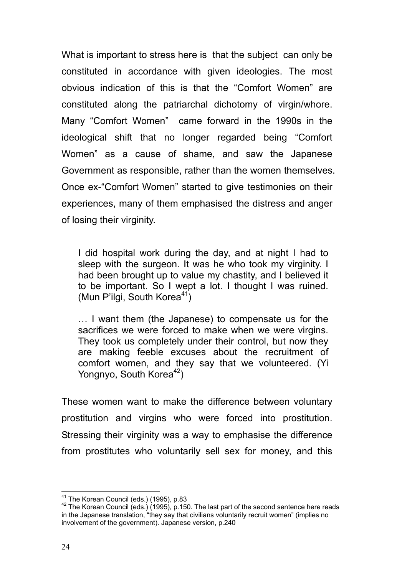What is important to stress here is that the subject can only be constituted in accordance with given ideologies. The most obvious indication of this is that the "Comfort Women" are constituted along the patriarchal dichotomy of virgin/whore. Many "Comfort Women" came forward in the 1990s in the ideological shift that no longer regarded being "Comfort Women" as a cause of shame, and saw the Japanese Government as responsible, rather than the women themselves. Once ex-"Comfort Women" started to give testimonies on their experiences, many of them emphasised the distress and anger of losing their virginity.

I did hospital work during the day, and at night I had to sleep with the surgeon. It was he who took my virginity. I had been brought up to value my chastity, and I believed it to be important. So I wept a lot. I thought I was ruined. (Mun P'ilgi, South Korea<sup>41</sup>)

… I want them (the Japanese) to compensate us for the sacrifices we were forced to make when we were virgins. They took us completely under their control, but now they are making feeble excuses about the recruitment of comfort women, and they say that we volunteered. (Yi Yongnyo, South Korea<sup>42</sup>)

These women want to make the difference between voluntary prostitution and virgins who were forced into prostitution. Stressing their virginity was a way to emphasise the difference from prostitutes who voluntarily sell sex for money, and this

<sup>&</sup>lt;sup>41</sup> The Korean Council (eds.) (1995), p.83

<span id="page-26-1"></span><span id="page-26-0"></span><sup>&</sup>lt;sup>41</sup> The Korean Council (eds.) (1995), p.83<br><sup>42</sup> The Korean Council (eds.) (1995), p.150. The last part of the second sentence here reads in the Japanese translation, "they say that civilians voluntarily recruit women" (implies no involvement of the government). Japanese version, p.240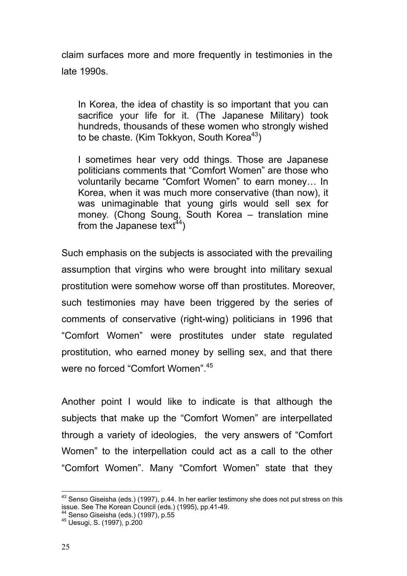claim surfaces more and more frequently in testimonies in the late 1990s.

In Korea, the idea of chastity is so important that you can sacrifice your life for it. (The Japanese Military) took hundreds, thousands of these women who strongly wished to be chaste. (Kim Tokkyon, South Korea<sup>43</sup>)

I sometimes hear very odd things. Those are Japanese politicians comments that "Comfort Women" are those who voluntarily became "Comfort Women" to earn money… In Korea, when it was much more conservative (than now), it was unimaginable that young girls would sell sex for money. (Chong Soung, South Korea – translation mine from the Japanese text<sup>44</sup>)

Such emphasis on the subjects is associated with the prevailing assumption that virgins who were brought into military sexual prostitution were somehow worse off than prostitutes. Moreover, such testimonies may have been triggered by the series of comments of conservative (right-wing) politicians in 1996 that "Comfort Women" were prostitutes under state regulated prostitution, who earned money by selling sex, and that there were no forced "Comfort Women".[45](#page-27-2) 

Another point I would like to indicate is that although the subjects that make up the "Comfort Women" are interpellated through a variety of ideologies, the very answers of "Comfort Women" to the interpellation could act as a call to the other "Comfort Women". Many "Comfort Women" state that they

<span id="page-27-0"></span> $^{43}$  Senso Giseisha (eds.) (1997), p.44. In her earlier testimony she does not put stress on this issue. See The Korean Council (eds.) (1995), pp.41-49.

<span id="page-27-1"></span> $44$  Senso Giseisha (eds.) (1997), p.55<br> $45$  Uesugi, S. (1997), p.200

<span id="page-27-2"></span>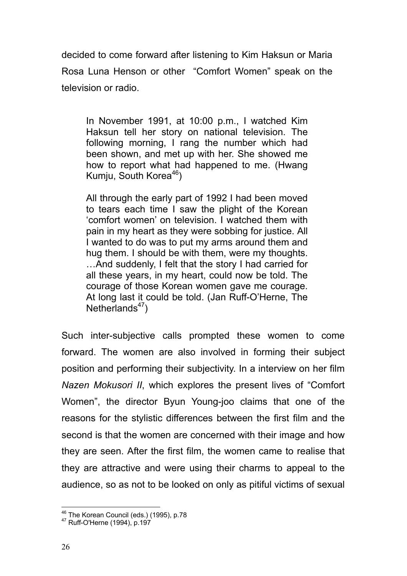decided to come forward after listening to Kim Haksun or Maria Rosa Luna Henson or other "Comfort Women" speak on the television or radio.

In November 1991, at 10:00 p.m., I watched Kim Haksun tell her story on national television. The following morning, I rang the number which had been shown, and met up with her. She showed me how to report what had happened to me. (Hwang Kumiu, South Korea<sup>46</sup>).

All through the early part of 1992 I had been moved to tears each time I saw the plight of the Korean 'comfort women' on television. I watched them with pain in my heart as they were sobbing for justice. All I wanted to do was to put my arms around them and hug them. I should be with them, were my thoughts. …And suddenly, I felt that the story I had carried for all these years, in my heart, could now be told. The courage of those Korean women gave me courage. At long last it could be told. (Jan Ruff-O'Herne, The Netherlands $47$ )

Such inter-subjective calls prompted these women to come forward. The women are also involved in forming their subject position and performing their subjectivity. In a interview on her film *Nazen Mokusori II*, which explores the present lives of "Comfort Women", the director Byun Young-joo claims that one of the reasons for the stylistic differences between the first film and the second is that the women are concerned with their image and how they are seen. After the first film, the women came to realise that they are attractive and were using their charms to appeal to the audience, so as not to be looked on only as pitiful victims of sexual

<span id="page-28-0"></span> $46$  The Korean Council (eds.) (1995), p.78<br> $47$  Ruff-O'Herne (1994), p.197

<span id="page-28-1"></span>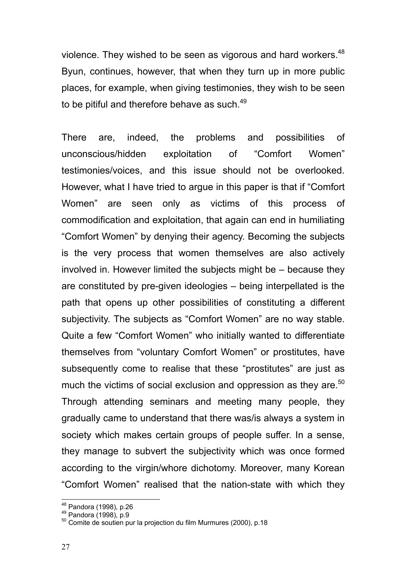violence. They wished to be seen as vigorous and hard workers.<sup>48</sup> Byun, continues, however, that when they turn up in more public places, for example, when giving testimonies, they wish to be seen to be pitiful and therefore behave as such.<sup>[49](#page-29-1)</sup>

There are, indeed, the problems and possibilities of unconscious/hidden exploitation of "Comfort Women" testimonies/voices, and this issue should not be overlooked. However, what I have tried to argue in this paper is that if "Comfort Women" are seen only as victims of this process of commodification and exploitation, that again can end in humiliating "Comfort Women" by denying their agency. Becoming the subjects is the very process that women themselves are also actively involved in. However limited the subjects might be – because they are constituted by pre-given ideologies – being interpellated is the path that opens up other possibilities of constituting a different subjectivity. The subjects as "Comfort Women" are no way stable. Quite a few "Comfort Women" who initially wanted to differentiate themselves from "voluntary Comfort Women" or prostitutes, have subsequently come to realise that these "prostitutes" are just as much the victims of social exclusion and oppression as they are.<sup>50</sup> Through attending seminars and meeting many people, they gradually came to understand that there was/is always a system in society which makes certain groups of people suffer. In a sense, they manage to subvert the subjectivity which was once formed according to the virgin/whore dichotomy. Moreover, many Korean "Comfort Women" realised that the nation-state with which they

 $\overline{a}$ 

<span id="page-29-2"></span><span id="page-29-1"></span>

<span id="page-29-0"></span><sup>&</sup>lt;sup>48</sup> Pandora (1998), p.26<br><sup>49</sup> Pandora (1998), p.9<br><sup>50</sup> Comite de soutien pur la projection du film Murmures (2000), p.18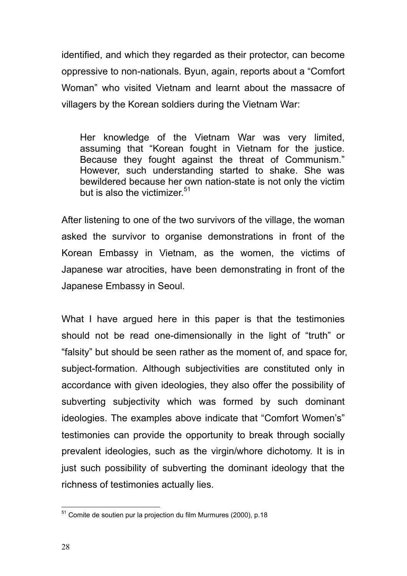identified, and which they regarded as their protector, can become oppressive to non-nationals. Byun, again, reports about a "Comfort Woman" who visited Vietnam and learnt about the massacre of villagers by the Korean soldiers during the Vietnam War:

Her knowledge of the Vietnam War was very limited, assuming that "Korean fought in Vietnam for the justice. Because they fought against the threat of Communism." However, such understanding started to shake. She was bewildered because her own nation-state is not only the victim but is also the victimizer.<sup>51</sup>

After listening to one of the two survivors of the village, the woman asked the survivor to organise demonstrations in front of the Korean Embassy in Vietnam, as the women, the victims of Japanese war atrocities, have been demonstrating in front of the Japanese Embassy in Seoul.

What I have argued here in this paper is that the testimonies should not be read one-dimensionally in the light of "truth" or "falsity" but should be seen rather as the moment of, and space for, subject-formation. Although subjectivities are constituted only in accordance with given ideologies, they also offer the possibility of subverting subjectivity which was formed by such dominant ideologies. The examples above indicate that "Comfort Women's" testimonies can provide the opportunity to break through socially prevalent ideologies, such as the virgin/whore dichotomy. It is in just such possibility of subverting the dominant ideology that the richness of testimonies actually lies.

<span id="page-30-0"></span> $\overline{a}$  $51$  Comite de soutien pur la projection du film Murmures (2000), p.18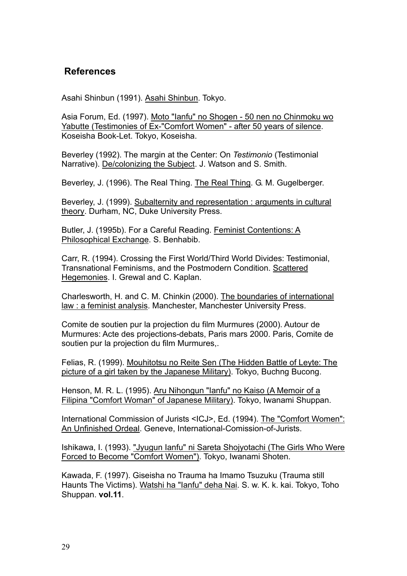#### **References**

Asahi Shinbun (1991). Asahi Shinbun. Tokyo.

Asia Forum, Ed. (1997). Moto "Ianfu" no Shogen - 50 nen no Chinmoku wo Yabutte (Testimonies of Ex-"Comfort Women" - after 50 years of silence. Koseisha Book-Let. Tokyo, Koseisha.

Beverley (1992). The margin at the Center: On *Testimonio* (Testimonial Narrative). De/colonizing the Subject. J. Watson and S. Smith.

Beverley, J. (1996). The Real Thing. The Real Thing. G. M. Gugelberger.

Beverley, J. (1999). Subalternity and representation : arguments in cultural theory. Durham, NC, Duke University Press.

Butler, J. (1995b). For a Careful Reading. Feminist Contentions: A Philosophical Exchange. S. Benhabib.

Carr, R. (1994). Crossing the First World/Third World Divides: Testimonial, Transnational Feminisms, and the Postmodern Condition. Scattered Hegemonies. I. Grewal and C. Kaplan.

Charlesworth, H. and C. M. Chinkin (2000). The boundaries of international law : a feminist analysis. Manchester, Manchester University Press.

Comite de soutien pur la projection du film Murmures (2000). Autour de Murmures: Acte des projections-debats, Paris mars 2000. Paris, Comite de soutien pur la projection du film Murmures,.

Felias, R. (1999). Mouhitotsu no Reite Sen (The Hidden Battle of Leyte: The picture of a girl taken by the Japanese Military). Tokyo, Buchng Bucong.

Henson, M. R. L. (1995). Aru Nihongun "Ianfu" no Kaiso (A Memoir of a Filipina "Comfort Woman" of Japanese Military). Tokyo, Iwanami Shuppan.

International Commission of Jurists <ICJ>, Ed. (1994). The "Comfort Women": An Unfinished Ordeal. Geneve, International-Comission-of-Jurists.

Ishikawa, I. (1993). "Jyugun Ianfu" ni Sareta Shojyotachi (The Girls Who Were Forced to Become "Comfort Women"). Tokyo, Iwanami Shoten.

Kawada, F. (1997). Giseisha no Trauma ha Imamo Tsuzuku (Trauma still Haunts The Victims). Watshi ha "Ianfu" deha Nai. S. w. K. k. kai. Tokyo, Toho Shuppan. **vol.11**.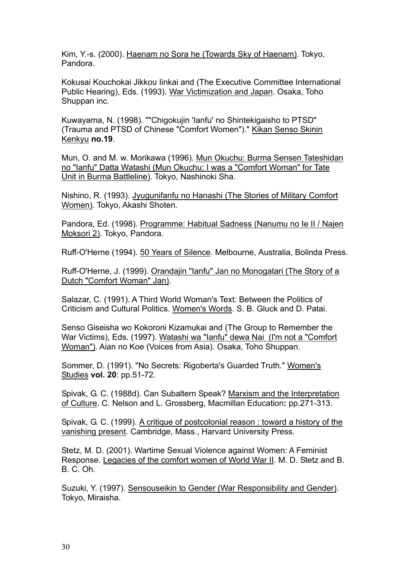Kim, Y.-s. (2000). Haenam no Sora he (Towards Sky of Haenam). Tokyo, Pandora.

Kokusai Kouchokai Jikkou Iinkai and (The Executive Committee International Public Hearing), Eds. (1993). War Victimization and Japan. Osaka, Toho Shuppan inc.

Kuwayama, N. (1998). ""Chigokujin 'Ianfu' no Shintekigaisho to PTSD" (Trauma and PTSD of Chinese "Comfort Women")." Kikan Senso Skinin Kenkyu **no.19**.

Mun, O. and M. w. Morikawa (1996). Mun Okuchu: Burma Sensen Tateshidan no "Ianfu" Datta Watashi (Mun Okuchu: I was a "Comfort Woman" for Tate Unit in Burma Battleline). Tokyo, Nashinoki Sha.

Nishino, R. (1993). Jyugunifanfu no Hanashi (The Stories of Military Comfort Women). Tokyo, Akashi Shoten.

Pandora, Ed. (1998). Programme: Habitual Sadness (Nanumu no Ie II / Najen Moksori 2). Tokyo, Pandora.

Ruff-O'Herne (1994). 50 Years of Silence. Melbourne, Australia, Bolinda Press.

Ruff-O'Herne, J. (1999). Orandajin "Ianfu" Jan no Monogatari (The Story of a Dutch "Comfort Woman" Jan).

Salazar, C. (1991). A Third World Woman's Text: Between the Politics of Criticism and Cultural Politics. Women's Words. S. B. Gluck and D. Patai.

Senso Giseisha wo Kokoroni Kizamukai and (The Group to Remember the War Victims), Eds. (1997). Watashi wa "Ianfu" dewa Nai (I'm not a "Comfort Woman"). Aian no Koe (Voices from Asia). Osaka, Toho Shuppan.

Sommer, D. (1991). "No Secrets: Rigoberta's Guarded Truth." Women's Studies **vol. 20**: pp.51-72.

Spivak, G. C. (1988d). Can Subaltern Speak? Marxism and the Interpretation of Culture. C. Nelson and L. Grossberg, Macmillan Education**:** pp.271-313.

Spivak, G. C. (1999). A critique of postcolonial reason : toward a history of the vanishing present. Cambridge, Mass., Harvard University Press.

Stetz, M. D. (2001). Wartime Sexual Violence against Women: A Feminist Response. Legacies of the comfort women of World War II. M. D. Stetz and B. B. C. Oh.

Suzuki, Y. (1997). Sensouseikin to Gender (War Responsibility and Gender). Tokyo, Miraisha.